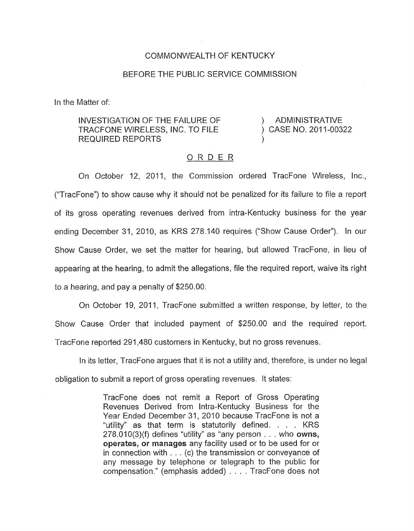## COMMONWEALTH OF KENTUCKY

## BEFORE THE PUBLIC, SERVICE COMMISSION

In the Matter of:

INVESTIGATION OF THE FAILURE OF ) ADMINISTRATIVE TRACFONE WIRELESS, INC. TO FILE  $(3.2011 - 0.0322)$ REQUIRED REPORTS

## ORDER

On October 12, 2011, the Commission ordered TracFone Wireless, Inc., ("TracFone") to show cause why it should not be penalized for its failure to file a report of its gross operating revenues derived from intra-Kentucky business for the year ending December 31, 2010, as KRS 278.140 requires ("Show Cause Order"). In our Show Cause Order, we set the matter for hearing, but allowed TracFone, in lieu of appearing at the hearing, to admit the allegations, file the required report, waive its right to a hearing, and pay a penalty of \$250.00.

On October 19, 2011, TracFone submitted a written response, by letter, to the Show Cause Order that included payment of \$250.00 and the required report. TracFone reported 291,480 customers in Kentucky, but no gross revenues.

In its letter, TracFone argues that it is not a utility and, therefore, is under no legal obligation to submit a report of gross operating revenues. It states:

> TracFone does not remit a Report of Gross Operating Revenues Derived from Intra-Kentucky Business for the Year Ended December 31, 2010 because TracFone is not a "utility" as that term is statutorily defined. . . . KRS  $278.010(3)$ (f) defines "utility" as "any person  $\ldots$  who owns, **operates, or manages** any facility used or to be used for or in connection with . . . (c) the transmission or conveyance of any message by telephone or telegraph to the public for compensation." (emphasis added) . . . . TracFone does not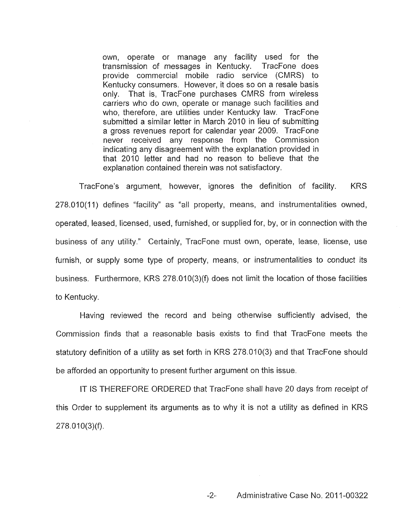own, operate or manage any facility used for the transmission of messages in Kentucky. TracFone does provide commercial mobile radio service (CMRS) to Kentucky consumers. However, it does so on a resale basis only. That is, TracFone purchases CMRS from wireless carriers who do own, operate or manage such facilities and who, therefore, are utilities under Kentucky law. TracFone submitted a similar letter in March 2010 in lieu of submitting a gross revenues report for calendar year 2009. TracFone never received any response from the Commission indicating any disagreement with the explanation provided in that 2010 letter and had no reason to believe that the explanation contained therein was not satisfactory.

TracFone's argument, however, ignores the definition of facility. KRS 278.010(11) defines "facility" as "all property, means, and instrumentalities owned, operated, leased, licensed, used, furnished, or supplied for, by, or in connection with the business of any utility." Certainly, TracFone must own, operate, lease, license, use furnish, or supply some type of property, means, or instrumentalities to conduct its business. Furthermore, KRS 278.010(3)(f) does not limit the location of those facilities to Kentucky.

Having reviewed the record and being otherwise sufficiently advised, the Commission finds that a reasonable basis exists to find that TracFone meets the statutory definition of a utility as set forth in KRS 278.010(3) and that TracFone should be afforded an opportunity to present further argument on this issue.

IT IS THEREFORE ORDERED that TracFone shall have 20 days from receipt of this Order to supplement its arguments as to why it is not a utility as defined in KRS 278.0 10(3)(f).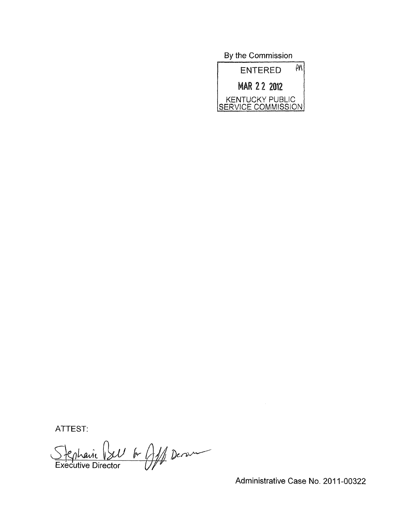By the Commission<br>ENTERED **ENTERED** WAN Z Z ZUIZ<br>2 KENTUCKY PUBLIC<br>2 TENJOE 2 CAMUSELONI ERVICE COMMISSION)

ATTEST:

Stephanie Bull & Aff Deren

Administrative Case No. 2011-00322